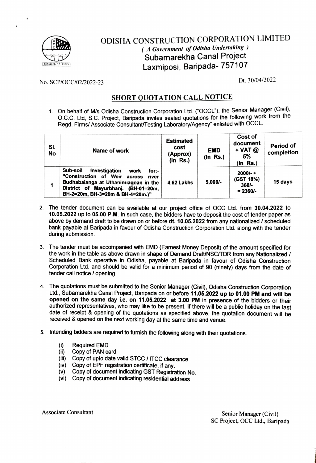

## ODISHA CONSTRUCTION CORPORATION LIMITED (A Government of Odisha Undertaking) Subarnarekha Canal Project Laxmiposi, Baripada- 757107 DESIGNED 10 ENCEL

No. SCP/OCC/02/2022-23 Dt. 30/04/2022

## **SHORT QUOTATION CALL NOTICE**

1. On behalf of M/s Odisha Construction Corporation Ltd. ("OCCL"), the Senior Manager (Civil), O.c.C. Ltd, S.C. Project, Baripada invites sealed quotations for the following work from the Regd. Firms/ Associate Consultant/Testing Laboratory/Agency" enlisted with OCCL.

| SI.<br><b>No</b> | Name of work                                                                                                                                                                                              | <b>Estimated</b><br>cost<br>(Approx)<br>(in Rs.) | <b>EMD</b><br>$(ln$ Rs.) | Cost of<br>document<br>$+$ VAT $@$<br>5%<br>$(ln$ Rs.) | Period of<br>completion |
|------------------|-----------------------------------------------------------------------------------------------------------------------------------------------------------------------------------------------------------|--------------------------------------------------|--------------------------|--------------------------------------------------------|-------------------------|
|                  | Sub-soil<br>Investigation<br>for:-<br>work<br>"Construction of Weir<br>across<br>river<br>Budhabalanga at Uthaninuagoan in the<br>District of Mayurbhanj. (BH-01=20m,<br>BH-2=20m, BH-3=20m & BH-4=20m.)" | 4.62 Lakhs                                       | $5,000/-$                | $2000/- +$<br>(GST 18%)<br>360/-<br>$= 2360/-$         | 15 days                 |

- 2. The tender document can be available at our project office of OCC Ltd. from 30.04.2022 to 10.05.2022 up to 05.00 P.M. In such case, the bidders have to deposit the cost of tender paper as above by demand draft to be drawn on or before dt. 10.05.2022 from any nationalized / scheduled bank payable at Baripada in favour of Odisha Construction Corporation Ltd. along with the tender during submission.
- 3. The tender must be accompanied with EMD (Earnest Money Deposit) of the amount specified for the work in the table as above drawn in shape of Demand Draft/NSCTDR from any Nationalized/ Scheduled Bank operative in Odisha, payable at Baripada in favour of Odisha Construction Corporation Ltd. and should be valid for a minimum period of 90 (ninety) days from the date of tender call notice / opening.
- 4. The quotations must be submitted to the Senior Manager (Civil), Odisha Construction Corporation Ltd, Subarnarekha Canal Project, Baripada on or before 11.05.2022 up to 01.00 PM and will be opened on the same day i.e. on 11.05.2022 at 3.00 PM in presence of the bidders or their authorized epresentatives, who may like to be present. If there will be a public holiday on the last date of receipt & opening of the quotations as specified above, the quotation document will be received & opened on the next working day at the same time and venue.
- 5. Intending bidders are required to furnish the following along with their quotations.
	- Required EMD  $(i)$
	- (ii) Copy of PAN card<br>(iii) Copy of upto date
	- Copy of upto date valid STCC / ITCC clearance
	- (iv) Copy of EPF registration certificate, if any.<br>(v) Copy of document indicating GST Registra
	- Copy of document indicating GST Registration No.
	- (vi) Copy of document indicating residential address

Associate Consultant Senior Manager (Civil) SC Project, OCC Ltd., Baripada